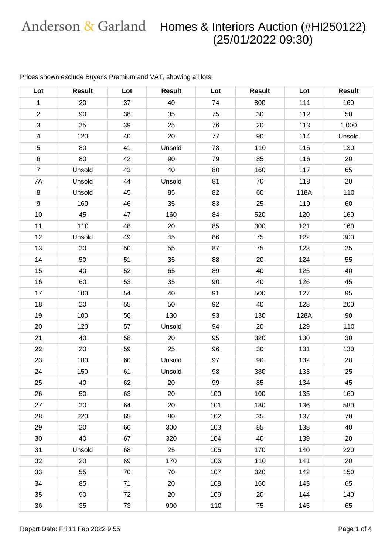| Lot            | <b>Result</b> | Lot | <b>Result</b> | Lot | <b>Result</b> | Lot  | <b>Result</b> |
|----------------|---------------|-----|---------------|-----|---------------|------|---------------|
| $\mathbf{1}$   | 20            | 37  | 40            | 74  | 800           | 111  | 160           |
| $\overline{2}$ | 90            | 38  | 35            | 75  | 30            | 112  | 50            |
| $\sqrt{3}$     | 25            | 39  | 25            | 76  | 20            | 113  | 1,000         |
| $\overline{4}$ | 120           | 40  | 20            | 77  | 90            | 114  | Unsold        |
| $\sqrt{5}$     | 80            | 41  | Unsold        | 78  | 110           | 115  | 130           |
| $\,6\,$        | 80            | 42  | 90            | 79  | 85            | 116  | 20            |
| $\overline{7}$ | Unsold        | 43  | 40            | 80  | 160           | 117  | 65            |
| 7A             | Unsold        | 44  | Unsold        | 81  | 70            | 118  | 20            |
| 8              | Unsold        | 45  | 85            | 82  | 60            | 118A | 110           |
| $9\,$          | 160           | 46  | 35            | 83  | 25            | 119  | 60            |
| 10             | 45            | 47  | 160           | 84  | 520           | 120  | 160           |
| 11             | 110           | 48  | 20            | 85  | 300           | 121  | 160           |
| 12             | Unsold        | 49  | 45            | 86  | 75            | 122  | 300           |
| 13             | 20            | 50  | 55            | 87  | 75            | 123  | 25            |
| 14             | 50            | 51  | 35            | 88  | 20            | 124  | 55            |
| 15             | 40            | 52  | 65            | 89  | 40            | 125  | 40            |
| 16             | 60            | 53  | 35            | 90  | 40            | 126  | 45            |
| 17             | 100           | 54  | 40            | 91  | 500           | 127  | 95            |
| 18             | 20            | 55  | 50            | 92  | 40            | 128  | 200           |
| 19             | 100           | 56  | 130           | 93  | 130           | 128A | 90            |
| 20             | 120           | 57  | Unsold        | 94  | 20            | 129  | 110           |
| 21             | 40            | 58  | 20            | 95  | 320           | 130  | 30            |
| 22             | 20            | 59  | 25            | 96  | 30            | 131  | 130           |
| 23             | 180           | 60  | Unsold        | 97  | 90            | 132  | 20            |
| 24             | 150           | 61  | Unsold        | 98  | 380           | 133  | 25            |
| 25             | 40            | 62  | 20            | 99  | 85            | 134  | 45            |
| 26             | 50            | 63  | 20            | 100 | 100           | 135  | 160           |
| 27             | 20            | 64  | 20            | 101 | 180           | 136  | 580           |
| 28             | 220           | 65  | 80            | 102 | 35            | 137  | 70            |
| 29             | 20            | 66  | 300           | 103 | 85            | 138  | 40            |
| 30             | 40            | 67  | 320           | 104 | 40            | 139  | 20            |
| 31             | Unsold        | 68  | 25            | 105 | 170           | 140  | 220           |
| 32             | 20            | 69  | 170           | 106 | 110           | 141  | 20            |
| 33             | 55            | 70  | 70            | 107 | 320           | 142  | 150           |
| 34             | 85            | 71  | 20            | 108 | 160           | 143  | 65            |
| 35             | 90            | 72  | 20            | 109 | 20            | 144  | 140           |
| 36             | 35            | 73  | 900           | 110 | 75            | 145  | 65            |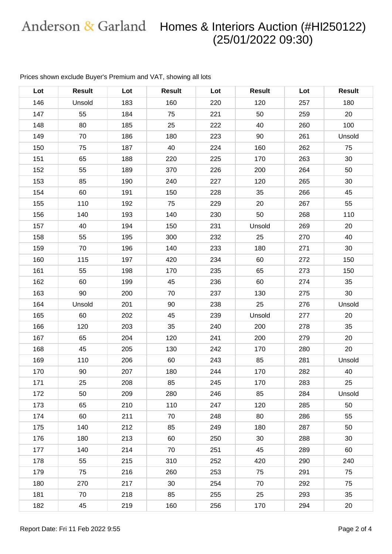| Lot | <b>Result</b> | Lot | <b>Result</b> | Lot | <b>Result</b> | Lot | <b>Result</b> |
|-----|---------------|-----|---------------|-----|---------------|-----|---------------|
| 146 | Unsold        | 183 | 160           | 220 | 120           | 257 | 180           |
| 147 | 55            | 184 | 75            | 221 | 50            | 259 | 20            |
| 148 | 80            | 185 | 25            | 222 | 40            | 260 | 100           |
| 149 | 70            | 186 | 180           | 223 | 90            | 261 | Unsold        |
| 150 | 75            | 187 | 40            | 224 | 160           | 262 | 75            |
| 151 | 65            | 188 | 220           | 225 | 170           | 263 | 30            |
| 152 | 55            | 189 | 370           | 226 | 200           | 264 | 50            |
| 153 | 85            | 190 | 240           | 227 | 120           | 265 | 30            |
| 154 | 60            | 191 | 150           | 228 | 35            | 266 | 45            |
| 155 | 110           | 192 | 75            | 229 | 20            | 267 | 55            |
| 156 | 140           | 193 | 140           | 230 | 50            | 268 | 110           |
| 157 | 40            | 194 | 150           | 231 | Unsold        | 269 | 20            |
| 158 | 55            | 195 | 300           | 232 | 25            | 270 | 40            |
| 159 | 70            | 196 | 140           | 233 | 180           | 271 | 30            |
| 160 | 115           | 197 | 420           | 234 | 60            | 272 | 150           |
| 161 | 55            | 198 | 170           | 235 | 65            | 273 | 150           |
| 162 | 60            | 199 | 45            | 236 | 60            | 274 | 35            |
| 163 | 90            | 200 | 70            | 237 | 130           | 275 | 30            |
| 164 | Unsold        | 201 | 90            | 238 | 25            | 276 | Unsold        |
| 165 | 60            | 202 | 45            | 239 | Unsold        | 277 | 20            |
| 166 | 120           | 203 | 35            | 240 | 200           | 278 | 35            |
| 167 | 65            | 204 | 120           | 241 | 200           | 279 | 20            |
| 168 | 45            | 205 | 130           | 242 | 170           | 280 | 20            |
| 169 | 110           | 206 | 60            | 243 | 85            | 281 | Unsold        |
| 170 | 90            | 207 | 180           | 244 | 170           | 282 | 40            |
| 171 | 25            | 208 | 85            | 245 | 170           | 283 | 25            |
| 172 | 50            | 209 | 280           | 246 | 85            | 284 | Unsold        |
| 173 | 65            | 210 | 110           | 247 | 120           | 285 | 50            |
| 174 | 60            | 211 | 70            | 248 | 80            | 286 | 55            |
| 175 | 140           | 212 | 85            | 249 | 180           | 287 | 50            |
| 176 | 180           | 213 | 60            | 250 | 30            | 288 | 30            |
| 177 | 140           | 214 | 70            | 251 | 45            | 289 | 60            |
| 178 | 55            | 215 | 310           | 252 | 420           | 290 | 240           |
| 179 | 75            | 216 | 260           | 253 | 75            | 291 | 75            |
| 180 | 270           | 217 | 30            | 254 | 70            | 292 | 75            |
| 181 | 70            | 218 | 85            | 255 | 25            | 293 | 35            |
| 182 | 45            | 219 | 160           | 256 | 170           | 294 | 20            |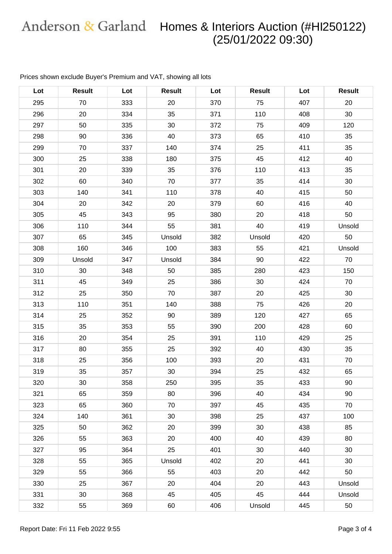| Lot | <b>Result</b> | Lot | <b>Result</b> | Lot | <b>Result</b> | Lot | <b>Result</b> |
|-----|---------------|-----|---------------|-----|---------------|-----|---------------|
| 295 | 70            | 333 | 20            | 370 | 75            | 407 | 20            |
| 296 | 20            | 334 | 35            | 371 | 110           | 408 | 30            |
| 297 | 50            | 335 | 30            | 372 | 75            | 409 | 120           |
| 298 | 90            | 336 | 40            | 373 | 65            | 410 | 35            |
| 299 | 70            | 337 | 140           | 374 | 25            | 411 | 35            |
| 300 | 25            | 338 | 180           | 375 | 45            | 412 | 40            |
| 301 | 20            | 339 | 35            | 376 | 110           | 413 | 35            |
| 302 | 60            | 340 | 70            | 377 | 35            | 414 | 30            |
| 303 | 140           | 341 | 110           | 378 | 40            | 415 | 50            |
| 304 | 20            | 342 | 20            | 379 | 60            | 416 | 40            |
| 305 | 45            | 343 | 95            | 380 | 20            | 418 | 50            |
| 306 | 110           | 344 | 55            | 381 | 40            | 419 | Unsold        |
| 307 | 65            | 345 | Unsold        | 382 | Unsold        | 420 | 50            |
| 308 | 160           | 346 | 100           | 383 | 55            | 421 | Unsold        |
| 309 | Unsold        | 347 | Unsold        | 384 | 90            | 422 | 70            |
| 310 | 30            | 348 | 50            | 385 | 280           | 423 | 150           |
| 311 | 45            | 349 | 25            | 386 | 30            | 424 | 70            |
| 312 | 25            | 350 | 70            | 387 | 20            | 425 | 30            |
| 313 | 110           | 351 | 140           | 388 | 75            | 426 | 20            |
| 314 | 25            | 352 | 90            | 389 | 120           | 427 | 65            |
| 315 | 35            | 353 | 55            | 390 | 200           | 428 | 60            |
| 316 | 20            | 354 | 25            | 391 | 110           | 429 | 25            |
| 317 | 80            | 355 | 25            | 392 | 40            | 430 | 35            |
| 318 | 25            | 356 | 100           | 393 | 20            | 431 | 70            |
| 319 | 35            | 357 | 30            | 394 | 25            | 432 | 65            |
| 320 | 30            | 358 | 250           | 395 | 35            | 433 | 90            |
| 321 | 65            | 359 | 80            | 396 | 40            | 434 | 90            |
| 323 | 65            | 360 | 70            | 397 | 45            | 435 | 70            |
| 324 | 140           | 361 | 30            | 398 | 25            | 437 | 100           |
| 325 | 50            | 362 | 20            | 399 | 30            | 438 | 85            |
| 326 | 55            | 363 | 20            | 400 | 40            | 439 | 80            |
| 327 | 95            | 364 | 25            | 401 | 30            | 440 | 30            |
| 328 | 55            | 365 | Unsold        | 402 | 20            | 441 | 30            |
| 329 | 55            | 366 | 55            | 403 | 20            | 442 | 50            |
| 330 | 25            | 367 | 20            | 404 | 20            | 443 | Unsold        |
| 331 | 30            | 368 | 45            | 405 | 45            | 444 | Unsold        |
| 332 | 55            | 369 | 60            | 406 | Unsold        | 445 | 50            |